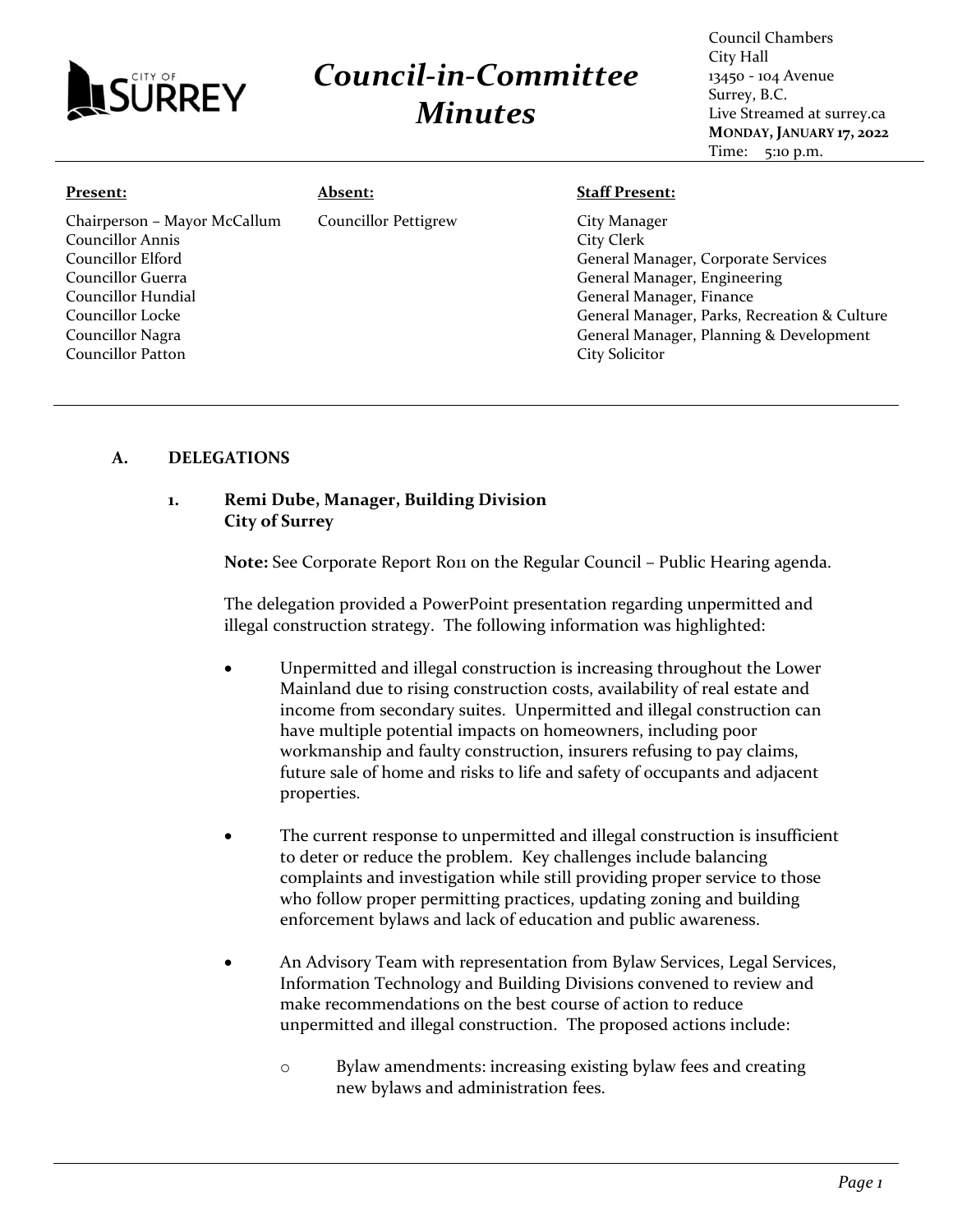

## *Council-in-Committee*

*Minutes*

Council Chambers City Hall 13450 - 104 Avenue Surrey, B.C. Live Streamed at surrey.ca **MONDAY, JANUARY 17, 2022** Time: 5:10 p.m.

| Present:                                                                                                                                                                      | <b>Absent:</b>              | <b>Staff Present:</b>                                                                                                                                                                                                                             |
|-------------------------------------------------------------------------------------------------------------------------------------------------------------------------------|-----------------------------|---------------------------------------------------------------------------------------------------------------------------------------------------------------------------------------------------------------------------------------------------|
| Chairperson - Mayor McCallum<br>Councillor Annis<br>Councillor Elford<br>Councillor Guerra<br>Councillor Hundial<br>Councillor Locke<br>Councillor Nagra<br>Councillor Patton | <b>Councillor Pettigrew</b> | City Manager<br>City Clerk<br>General Manager, Corporate Services<br>General Manager, Engineering<br>General Manager, Finance<br>General Manager, Parks, Recreation & Culture<br>General Manager, Planning & Development<br><b>City Solicitor</b> |
|                                                                                                                                                                               |                             |                                                                                                                                                                                                                                                   |

## **A. DELEGATIONS**

## **1. Remi Dube, Manager, Building Division City of Surrey**

**Note:** See Corporate Report R011 on the Regular Council – Public Hearing agenda.

The delegation provided a PowerPoint presentation regarding unpermitted and illegal construction strategy. The following information was highlighted:

- Unpermitted and illegal construction is increasing throughout the Lower Mainland due to rising construction costs, availability of real estate and income from secondary suites. Unpermitted and illegal construction can have multiple potential impacts on homeowners, including poor workmanship and faulty construction, insurers refusing to pay claims, future sale of home and risks to life and safety of occupants and adjacent properties.
- The current response to unpermitted and illegal construction is insufficient to deter or reduce the problem. Key challenges include balancing complaints and investigation while still providing proper service to those who follow proper permitting practices, updating zoning and building enforcement bylaws and lack of education and public awareness.
- An Advisory Team with representation from Bylaw Services, Legal Services, Information Technology and Building Divisions convened to review and make recommendations on the best course of action to reduce unpermitted and illegal construction. The proposed actions include:
	- o Bylaw amendments: increasing existing bylaw fees and creating new bylaws and administration fees.